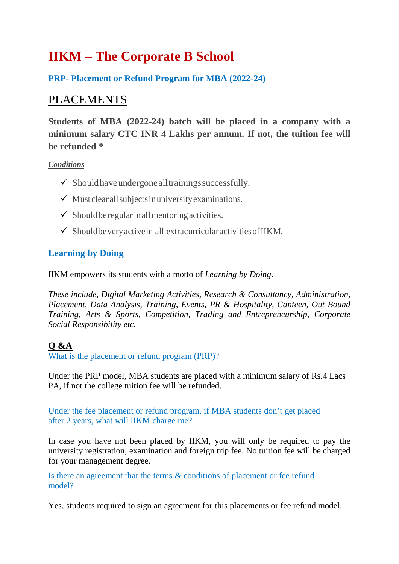# **IIKM – The Corporate B School**

#### **PRP- Placement or Refund Program for MBA (2022-24)**

## PLACEMENTS

**Students of MBA (2022-24) batch will be placed in a company with a minimum salary CTC INR 4 Lakhs per annum. If not, the tuition fee will be refunded \***

#### *Conditions*

- $\checkmark$  Should have undergone all trainings successfully.
- $\checkmark$  Must clear all subjects in university examinations.
- $\checkmark$  Should be regular in all mentoring activities.
- $\checkmark$  Should be very active in all extracurricular activities of IIKM.

#### **Learning by Doing**

IIKM empowers its students with a motto of *Learning by Doing*.

*These include, Digital Marketing Activities, Research & Consultancy, Administration, Placement, Data Analysis, Training, Events, PR & Hospitality, Canteen, Out Bound Training, Arts & Sports, Competition, Trading and Entrepreneurship, Corporate Social Responsibility etc.*

#### **Q &A**

What is the placement or refund program (PRP)?

Under the PRP model, MBA students are placed with a minimum salary of Rs.4 Lacs PA, if not the college tuition fee will be refunded.

Under the fee placement or refund program, if MBA students don't get placed after 2 years, what will IIKM charge me?

In case you have not been placed by IIKM, you will only be required to pay the university registration, examination and foreign trip fee. No tuition fee will be charged for your management degree.

Is there an agreement that the terms & conditions of placement or fee refund model?

Yes, students required to sign an agreement for this placements or fee refund model.